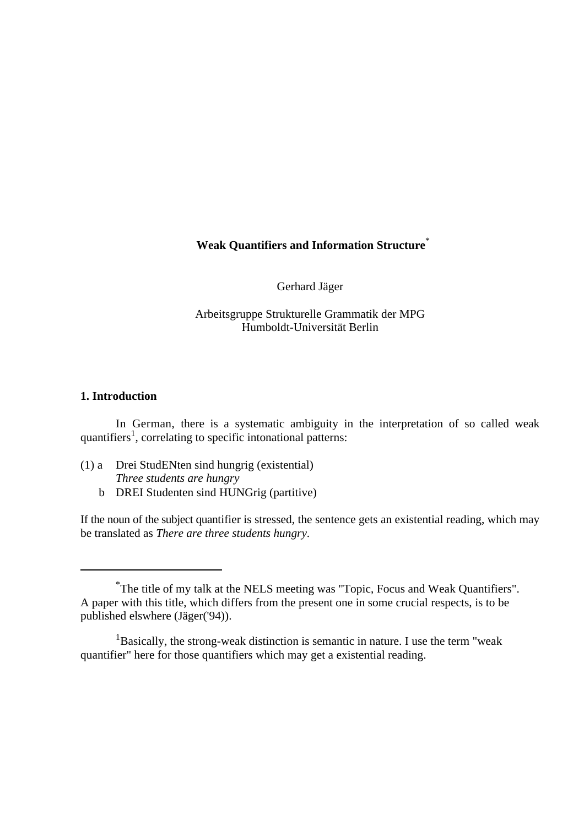## **Weak Quantifiers and Information Structure**\*

Gerhard Jäger

Arbeitsgruppe Strukturelle Grammatik der MPG Humboldt-Universität Berlin

## **1. Introduction**

In German, there is a systematic ambiguity in the interpretation of so called weak quantifiers<sup>1</sup>, correlating to specific intonational patterns:

- (1) a Drei StudENten sind hungrig (existential) *Three students are hungry*
	- b DREI Studenten sind HUNGrig (partitive)

If the noun of the subject quantifier is stressed, the sentence gets an existential reading, which may be translated as *There are three students hungry*.

The title of my talk at the NELS meeting was "Topic, Focus and Weak Quantifiers". \* A paper with this title, which differs from the present one in some crucial respects, is to be published elswhere (Jäger('94)).

<sup>&</sup>lt;sup>1</sup>Basically, the strong-weak distinction is semantic in nature. I use the term "weak" quantifier" here for those quantifiers which may get a existential reading.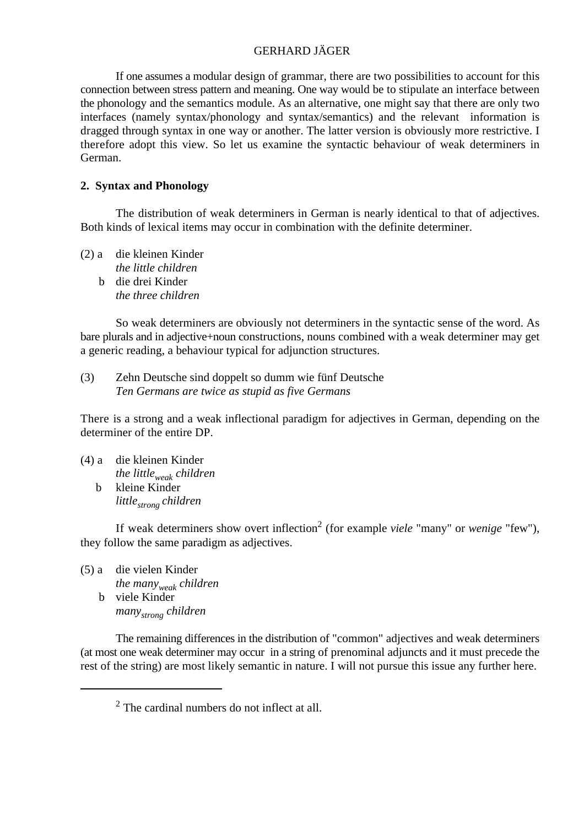If one assumes a modular design of grammar, there are two possibilities to account for this connection between stress pattern and meaning. One way would be to stipulate an interface between the phonology and the semantics module. As an alternative, one might say that there are only two interfaces (namely syntax/phonology and syntax/semantics) and the relevant information is dragged through syntax in one way or another. The latter version is obviously more restrictive. I therefore adopt this view. So let us examine the syntactic behaviour of weak determiners in German.

#### **2. Syntax and Phonology**

The distribution of weak determiners in German is nearly identical to that of adjectives. Both kinds of lexical items may occur in combination with the definite determiner.

(2) a die kleinen Kinder *the little children* b die drei Kinder *the three children*

So weak determiners are obviously not determiners in the syntactic sense of the word. As bare plurals and in adjective+noun constructions, nouns combined with a weak determiner may get a generic reading, a behaviour typical for adjunction structures.

(3) Zehn Deutsche sind doppelt so dumm wie fünf Deutsche *Ten Germans are twice as stupid as five Germans*

There is a strong and a weak inflectional paradigm for adjectives in German, depending on the determiner of the entire DP.

(4) a die kleinen Kinder *the little*<sub>*weak*</sub> *children*  b kleine Kinder *little children strong* 

If weak determiners show overt inflection<sup>2</sup> (for example *viele* "many" or *wenige* "few"), they follow the same paradigm as adjectives.

(5) a die vielen Kinder *the many*<sub>weak</sub> *children*  b viele Kinder *many children strong*

The remaining differences in the distribution of "common" adjectives and weak determiners (at most one weak determiner may occur in a string of prenominal adjuncts and it must precede the rest of the string) are most likely semantic in nature. I will not pursue this issue any further here.

 $2$  The cardinal numbers do not inflect at all.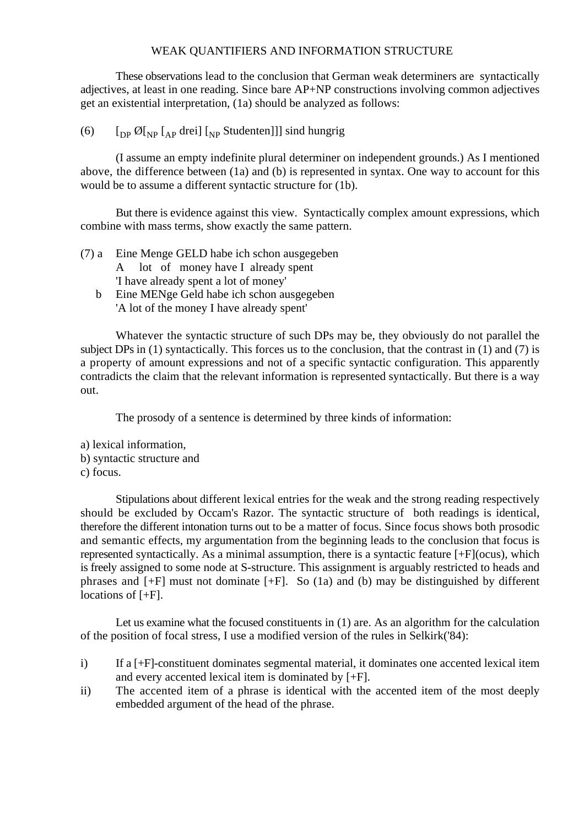These observations lead to the conclusion that German weak determiners are syntactically adjectives, at least in one reading. Since bare AP+NP constructions involving common adjectives get an existential interpretation, (1a) should be analyzed as follows:

(6)  $\left[ \begin{matrix} \n\end{matrix} \right]$   $\left[ \begin{matrix} D_P & D_P \end{matrix} \right]$   $\left[ \begin{matrix} D_P & D_P \end{matrix} \right]$   $\left[ \begin{matrix} D_P & D_P \end{matrix} \right]$   $\left[ \begin{matrix} D_P & D_P \end{matrix} \right]$   $\left[ \begin{matrix} D_P & D_P \end{matrix} \right]$   $\left[ \begin{matrix} D_P & D_P \end{matrix} \right]$   $\left[ \begin{matrix} D_P & D_P \end{matrix} \right]$   $\left[ \begin{matrix} D_P &$ 

(I assume an empty indefinite plural determiner on independent grounds.) As I mentioned above, the difference between (1a) and (b) is represented in syntax. One way to account for this would be to assume a different syntactic structure for (1b).

But there is evidence against this view. Syntactically complex amount expressions, which combine with mass terms, show exactly the same pattern.

- (7) a Eine Menge GELD habe ich schon ausgegeben A lot of money have I already spent 'I have already spent a lot of money'
	- b Eine MENge Geld habe ich schon ausgegeben 'A lot of the money I have already spent'

Whatever the syntactic structure of such DPs may be, they obviously do not parallel the subject DPs in (1) syntactically. This forces us to the conclusion, that the contrast in (1) and (7) is a property of amount expressions and not of a specific syntactic configuration. This apparently contradicts the claim that the relevant information is represented syntactically. But there is a way out.

The prosody of a sentence is determined by three kinds of information:

- a) lexical information,
- b) syntactic structure and
- c) focus.

Stipulations about different lexical entries for the weak and the strong reading respectively should be excluded by Occam's Razor. The syntactic structure of both readings is identical, therefore the different intonation turns out to be a matter of focus. Since focus shows both prosodic and semantic effects, my argumentation from the beginning leads to the conclusion that focus is represented syntactically. As a minimal assumption, there is a syntactic feature [+F](ocus), which is freely assigned to some node at S-structure. This assignment is arguably restricted to heads and phrases and [+F] must not dominate [+F]. So (1a) and (b) may be distinguished by different locations of [+F].

Let us examine what the focused constituents in (1) are. As an algorithm for the calculation of the position of focal stress, I use a modified version of the rules in Selkirk('84):

- i) If a [+F]-constituent dominates segmental material, it dominates one accented lexical item and every accented lexical item is dominated by [+F].
- ii) The accented item of a phrase is identical with the accented item of the most deeply embedded argument of the head of the phrase.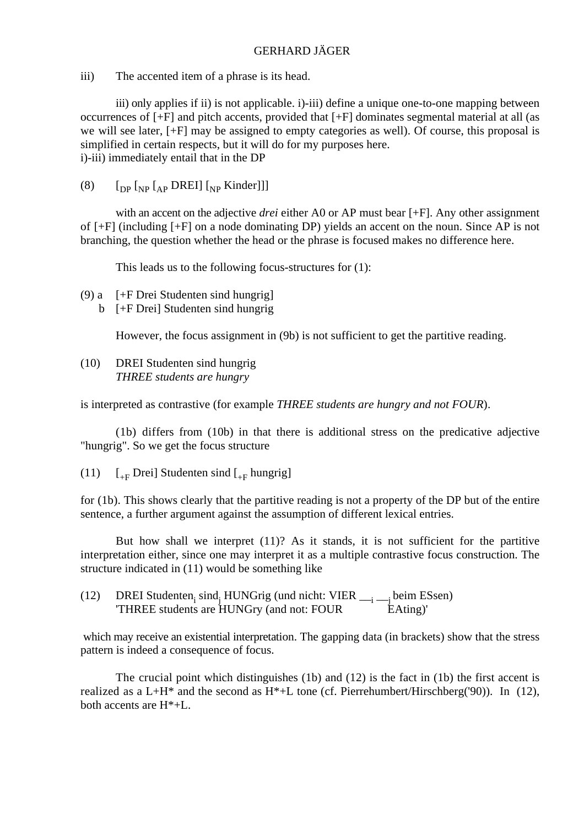iii) The accented item of a phrase is its head.

iii) only applies if ii) is not applicable. i)-iii) define a unique one-to-one mapping between occurrences of [+F] and pitch accents, provided that [+F] dominates segmental material at all (as we will see later, [+F] may be assigned to empty categories as well). Of course, this proposal is simplified in certain respects, but it will do for my purposes here. i)-iii) immediately entail that in the DP

(8)  $\left[\begin{matrix} \n\text{op} \left[\begin{matrix} N_P \end{matrix}\right] \right] \left[\begin{matrix} N_P \end{matrix}\right] \right]$ 

with an accent on the adjective *drei* either A0 or AP must bear [+F]. Any other assignment of [+F] (including [+F] on a node dominating DP) yields an accent on the noun. Since AP is not branching, the question whether the head or the phrase is focused makes no difference here.

This leads us to the following focus-structures for (1):

(9) a [+F Drei Studenten sind hungrig] b [+F Drei] Studenten sind hungrig

However, the focus assignment in (9b) is not sufficient to get the partitive reading.

(10) DREI Studenten sind hungrig *THREE students are hungry*

is interpreted as contrastive (for example *THREE students are hungry and not FOUR*).

(1b) differs from (10b) in that there is additional stress on the predicative adjective "hungrig". So we get the focus structure

(11)  $\left[1 + \text{F} \text{Drei}\right]$  Studenten sind  $\left[1 + \text{F} \text{Hungrig}\right]$ 

for (1b). This shows clearly that the partitive reading is not a property of the DP but of the entire sentence, a further argument against the assumption of different lexical entries.

But how shall we interpret (11)? As it stands, it is not sufficient for the partitive interpretation either, since one may interpret it as a multiple contrastive focus construction. The structure indicated in (11) would be something like

(12) DREI Studenten sind HUNGrig (und nicht: VIER  $_{\text{--i}}$   $_{\text{--j}}$  beim ESsen)<br>
"THREE students are HUNGry (and not: FOUR EAting)" "THREE students are HUNGry (and not: FOUR

which may receive an existential interpretation. The gapping data (in brackets) show that the stress pattern is indeed a consequence of focus.

The crucial point which distinguishes (1b) and (12) is the fact in (1b) the first accent is realized as a L+H\* and the second as  $H^*+L$  tone (cf. Pierrehumbert/Hirschberg('90)). In (12), both accents are H\*+L.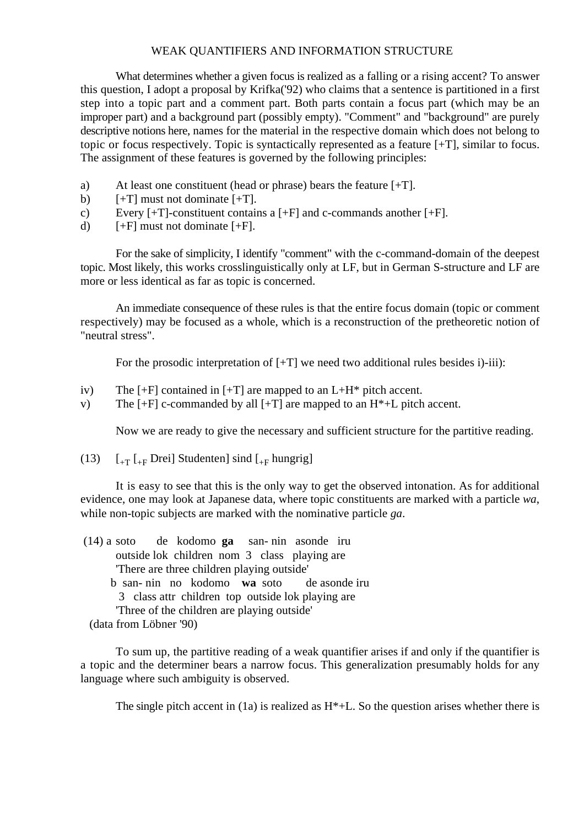What determines whether a given focus is realized as a falling or a rising accent? To answer this question, I adopt a proposal by Krifka('92) who claims that a sentence is partitioned in a first step into a topic part and a comment part. Both parts contain a focus part (which may be an improper part) and a background part (possibly empty). "Comment" and "background" are purely descriptive notions here, names for the material in the respective domain which does not belong to topic or focus respectively. Topic is syntactically represented as a feature [+T], similar to focus. The assignment of these features is governed by the following principles:

- a) At least one constituent (head or phrase) bears the feature [+T].
- b)  $[+T]$  must not dominate  $[+T]$ .
- c) Every  $[+T]$ -constituent contains a  $[+F]$  and c-commands another  $[+F]$ .
- d)  $[+F]$  must not dominate  $[+F]$ .

For the sake of simplicity, I identify "comment" with the c-command-domain of the deepest topic. Most likely, this works crosslinguistically only at LF, but in German S-structure and LF are more or less identical as far as topic is concerned.

An immediate consequence of these rules is that the entire focus domain (topic or comment respectively) may be focused as a whole, which is a reconstruction of the pretheoretic notion of "neutral stress".

For the prosodic interpretation of  $[+T]$  we need two additional rules besides i)-iii):

- iv) The  $[+F]$  contained in  $[+T]$  are mapped to an  $L+H^*$  pitch accent.
- v) The  $[+F]$  c-commanded by all  $[+T]$  are mapped to an  $H^*+L$  pitch accent.

Now we are ready to give the necessary and sufficient structure for the partitive reading.

(13)  $\left[ \begin{matrix} 1 \\ +T \end{matrix} \right]$   $\left[ \begin{matrix} 1 \\ +F \end{matrix} \right]$  Drei Studenten sind  $\left[ \begin{matrix} 1 \\ +F \end{matrix} \right]$  hungrig

It is easy to see that this is the only way to get the observed intonation. As for additional evidence, one may look at Japanese data, where topic constituents are marked with a particle *wa*, while non-topic subjects are marked with the nominative particle *ga*.

| $(14)$ a soto de kodomo ga san-nin asonde iru     |  |  |  |  |                                              |  |
|---------------------------------------------------|--|--|--|--|----------------------------------------------|--|
|                                                   |  |  |  |  | outside lok children nom 3 class playing are |  |
| There are three children playing outside'         |  |  |  |  |                                              |  |
|                                                   |  |  |  |  | b san-nin no kodomo wa soto de asonde iru    |  |
| 3 class attr children top outside lok playing are |  |  |  |  |                                              |  |
| Three of the children are playing outside.        |  |  |  |  |                                              |  |
| (data from Löbner '90)                            |  |  |  |  |                                              |  |

To sum up, the partitive reading of a weak quantifier arises if and only if the quantifier is a topic and the determiner bears a narrow focus. This generalization presumably holds for any language where such ambiguity is observed.

The single pitch accent in  $(1a)$  is realized as  $H^*+L$ . So the question arises whether there is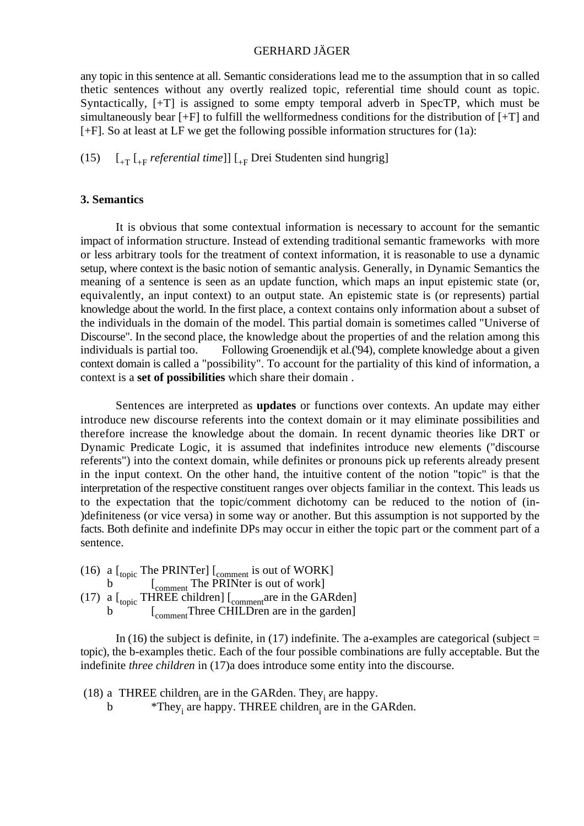any topic in this sentence at all. Semantic considerations lead me to the assumption that in so called thetic sentences without any overtly realized topic, referential time should count as topic. Syntactically, [+T] is assigned to some empty temporal adverb in SpecTP, which must be simultaneously bear [+F] to fulfill the wellformedness conditions for the distribution of [+T] and [+F]. So at least at LF we get the following possible information structures for (1a):

(15)  $\left[ \begin{array}{cc} F_{+T} & F_{-T} & F_{-T} & F_{-T} & F_{-T} \\ \end{array} \right]$  *referential time*]]  $\left[ \begin{array}{cc} F_{+T} & F_{-T} & F_{-T} & F_{-T} \\ \end{array} \right]$  and hungrig]

## **3. Semantics**

It is obvious that some contextual information is necessary to account for the semantic impact of information structure. Instead of extending traditional semantic frameworks with more or less arbitrary tools for the treatment of context information, it is reasonable to use a dynamic setup, where context is the basic notion of semantic analysis. Generally, in Dynamic Semantics the meaning of a sentence is seen as an update function, which maps an input epistemic state (or, equivalently, an input context) to an output state. An epistemic state is (or represents) partial knowledge about the world. In the first place, a context contains only information about a subset of the individuals in the domain of the model. This partial domain is sometimes called "Universe of Discourse". In the second place, the knowledge about the properties of and the relation among this individuals is partial too. Following Groenendijk et al.('94), complete knowledge about a given context domain is called a "possibility". To account for the partiality of this kind of information, a context is a **set of possibilities** which share their domain .

Sentences are interpreted as **updates** or functions over contexts. An update may either introduce new discourse referents into the context domain or it may eliminate possibilities and therefore increase the knowledge about the domain. In recent dynamic theories like DRT or Dynamic Predicate Logic, it is assumed that indefinites introduce new elements ("discourse referents") into the context domain, while definites or pronouns pick up referents already present in the input context. On the other hand, the intuitive content of the notion "topic" is that the interpretation of the respective constituent ranges over objects familiar in the context. This leads us to the expectation that the topic/comment dichotomy can be reduced to the notion of (in- )definiteness (or vice versa) in some way or another. But this assumption is not supported by the facts. Both definite and indefinite DPs may occur in either the topic part or the comment part of a sentence.

- (16) a  $\left[$ <sub>topic</sub> The PRINTer]  $\left[$ <sub>comment</sub> is out of WORK]
- b  $\left[$   $\right]$   $\left[$   $\right]$   $\left[$   $\right]$   $\left[$   $\right]$   $\left[$   $\right]$   $\left[$   $\right]$   $\left[$   $\right]$   $\left[$   $\right]$   $\left[$   $\right]$   $\left[$   $\right]$   $\left[$   $\right]$   $\left[$   $\right]$   $\left[$   $\right]$   $\left[$   $\right]$   $\left[$   $\right]$   $\left[$   $\right]$   $\left[$   $\right]$   $\left[$   $\right]$   $\left$ (17) a  $\left[$ <sub>topic</sub> THREE children]  $\left[$ <sub>comment</sub> are in the GARden] b  $\left[$ <sub>comment</sub> Three CHILDren are in the garden]

In (16) the subject is definite, in (17) indefinite. The a-examples are categorical (subject  $=$ topic), the b-examples thetic. Each of the four possible combinations are fully acceptable. But the indefinite *three children* in (17)a does introduce some entity into the discourse.

(18) a THREE children, are in the GARden. They, are happy.<br>b  $*$ They are happy. THREE children are in the G

 $*$ They, are happy. THREE children, are in the GARden.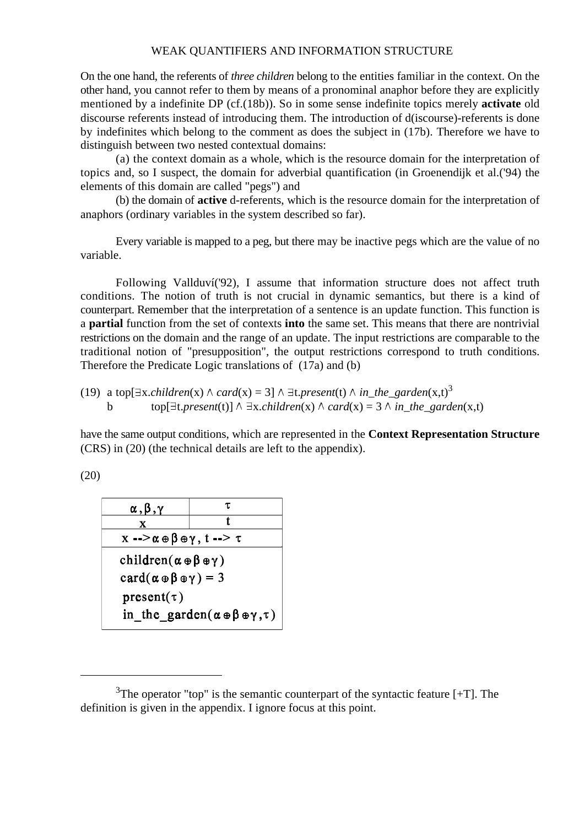On the one hand, the referents of *three children* belong to the entities familiar in the context. On the other hand, you cannot refer to them by means of a pronominal anaphor before they are explicitly mentioned by a indefinite DP (cf.(18b)). So in some sense indefinite topics merely **activate** old discourse referents instead of introducing them. The introduction of d(iscourse)-referents is done by indefinites which belong to the comment as does the subject in (17b). Therefore we have to distinguish between two nested contextual domains:

(a) the context domain as a whole, which is the resource domain for the interpretation of topics and, so I suspect, the domain for adverbial quantification (in Groenendijk et al.('94) the elements of this domain are called "pegs") and

(b) the domain of **active** d-referents, which is the resource domain for the interpretation of anaphors (ordinary variables in the system described so far).

Every variable is mapped to a peg, but there may be inactive pegs which are the value of no variable.

Following Vallduví('92), I assume that information structure does not affect truth conditions. The notion of truth is not crucial in dynamic semantics, but there is a kind of counterpart. Remember that the interpretation of a sentence is an update function. This function is a **partial** function from the set of contexts **into** the same set. This means that there are nontrivial restrictions on the domain and the range of an update. The input restrictions are comparable to the traditional notion of "presupposition", the output restrictions correspond to truth conditions. Therefore the Predicate Logic translations of (17a) and (b)

(19) a top[ $\exists$ x.*children*(x)  $\land$  *card*(x) = 3]  $\land$   $\exists$ t.*present*(t)  $\land$  *in\_the\_garden*(x,t)<sup>3</sup> b top[ $\exists t. present(t)$ ]  $\land \exists x. children(x) \land card(x) = 3 \land in the garden(x,t)$ 

have the same output conditions, which are represented in the **Context Representation Structure** (CRS) in (20) (the technical details are left to the appendix).

(20)

$$
\begin{array}{c|c}\n\hline\n\alpha, \beta, \gamma & \tau \\
\hline\nx & t \\
\hline\nx --\alpha \oplus \beta \oplus \gamma, t --\gamma\n\end{array}
$$
\nchildren $(\alpha \oplus \beta \oplus \gamma)$   
\ncard $(\alpha \oplus \beta \oplus \gamma) = 3$   
\npresent $(\tau)$   
\nin \_the\_ garden $(\alpha \oplus \beta \oplus \gamma, \tau)$ 

 $3$ The operator "top" is the semantic counterpart of the syntactic feature  $[+T]$ . The definition is given in the appendix. I ignore focus at this point.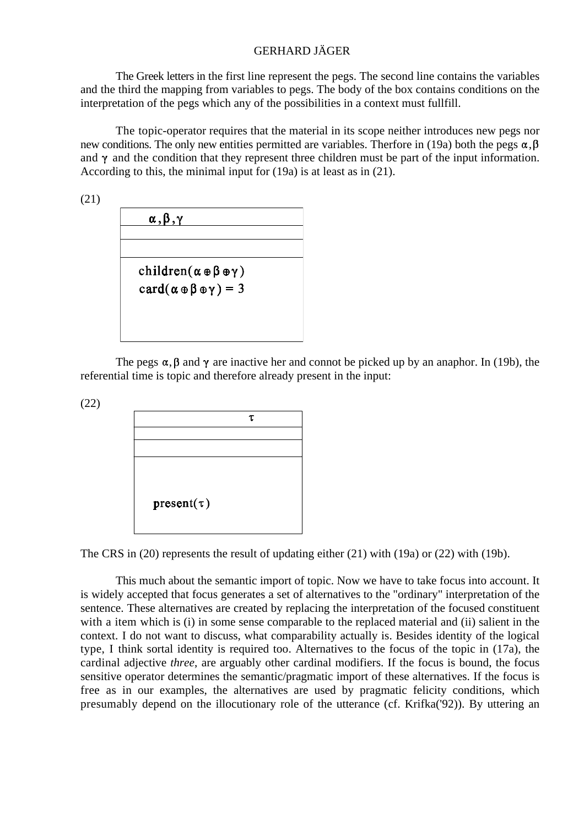The Greek letters in the first line represent the pegs. The second line contains the variables and the third the mapping from variables to pegs. The body of the box contains conditions on the interpretation of the pegs which any of the possibilities in a context must fullfill.

The topic-operator requires that the material in its scope neither introduces new pegs nor new conditions. The only new entities permitted are variables. Therfore in (19a) both the pegs  $\alpha, \beta$ and  $\gamma$  and the condition that they represent three children must be part of the input information. According to this, the minimal input for (19a) is at least as in (21).

(21)

| $\alpha$ , $\beta$ , $\gamma$                   |  |
|-------------------------------------------------|--|
|                                                 |  |
|                                                 |  |
| children( $\alpha \oplus \beta \oplus \gamma$ ) |  |
| $card(\alpha \oplus \beta \oplus \gamma) = 3$   |  |
|                                                 |  |
|                                                 |  |

The pegs  $\alpha$ ,  $\beta$  and  $\gamma$  are inactive her and connot be picked up by an anaphor. In (19b), the referential time is topic and therefore already present in the input:

(22)



The CRS in (20) represents the result of updating either (21) with (19a) or (22) with (19b).

This much about the semantic import of topic. Now we have to take focus into account. It is widely accepted that focus generates a set of alternatives to the "ordinary" interpretation of the sentence. These alternatives are created by replacing the interpretation of the focused constituent with a item which is (i) in some sense comparable to the replaced material and (ii) salient in the context. I do not want to discuss, what comparability actually is. Besides identity of the logical type, I think sortal identity is required too. Alternatives to the focus of the topic in (17a), the cardinal adjective *three*, are arguably other cardinal modifiers. If the focus is bound, the focus sensitive operator determines the semantic/pragmatic import of these alternatives. If the focus is free as in our examples, the alternatives are used by pragmatic felicity conditions, which presumably depend on the illocutionary role of the utterance (cf. Krifka('92)). By uttering an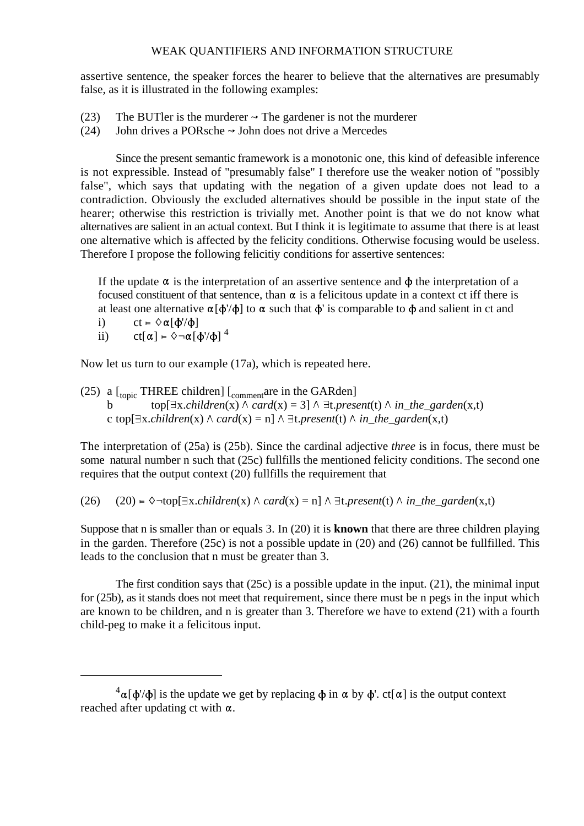assertive sentence, the speaker forces the hearer to believe that the alternatives are presumably false, as it is illustrated in the following examples:

- (23) The BUTler is the murderer  $\rightarrow$  The gardener is not the murderer
- (24) John drives a PORsche  $\rightarrow$  John does not drive a Mercedes

Since the present semantic framework is a monotonic one, this kind of defeasible inference is not expressible. Instead of "presumably false" I therefore use the weaker notion of "possibly false", which says that updating with the negation of a given update does not lead to a contradiction. Obviously the excluded alternatives should be possible in the input state of the hearer; otherwise this restriction is trivially met. Another point is that we do not know what alternatives are salient in an actual context. But I think it is legitimate to assume that there is at least one alternative which is affected by the felicity conditions. Otherwise focusing would be useless. Therefore I propose the following felicitiy conditions for assertive sentences:

If the update  $\alpha$  is the interpretation of an assertive sentence and  $\phi$  the interpretation of a focused constituent of that sentence, than  $\alpha$  is a felicitous update in a context ct iff there is at least one alternative  $\alpha[\phi'/\phi]$  to  $\alpha$  such that  $\phi'$  is comparable to  $\phi$  and salient in ct and

- i) ct =  $\Diamond \alpha [\phi'/\phi]$
- ii)  $ct[\alpha] = \sqrt[3]{\alpha} [\phi'/\phi]^{4}$

Now let us turn to our example (17a), which is repeated here.

(25) a  $\left[$ <sub>topic</sub> THREE children]  $\left[$ <sub>comment</sub>are in the GARden]  $top[\exists x. children(x) \land card(x) = 3] \land \exists t. present(t) \land in\_the\_garden(x,t)$ c top[ $\exists x.$ *children*(x)  $\land$  *card*(x) = n]  $\land \exists t.$ *present*(t)  $\land$  *in\_the\_garden*(x,t)

The interpretation of (25a) is (25b). Since the cardinal adjective *three* is in focus, there must be some natural number n such that (25c) fullfills the mentioned felicity conditions. The second one requires that the output context (20) fullfills the requirement that

(26) (20)  $\approx \text{top}[\exists x \text{.children}(x) \land \text{card}(x) = n] \land \exists t \text{.present}(t) \land \text{in\_the\_garden}(x,t)$ 

Suppose that n is smaller than or equals 3. In (20) it is **known** that there are three children playing in the garden. Therefore (25c) is not a possible update in (20) and (26) cannot be fullfilled. This leads to the conclusion that n must be greater than 3.

The first condition says that (25c) is a possible update in the input. (21), the minimal input for (25b), as it stands does not meet that requirement, since there must be n pegs in the input which are known to be children, and n is greater than 3. Therefore we have to extend (21) with a fourth child-peg to make it a felicitous input.

 ${}^4\alpha[\Phi'/\Phi]$  is the update we get by replacing  $\Phi$  in  $\alpha$  by  $\Phi'$ . ct[ $\alpha$ ] is the output context reached after updating ct with  $\alpha$ .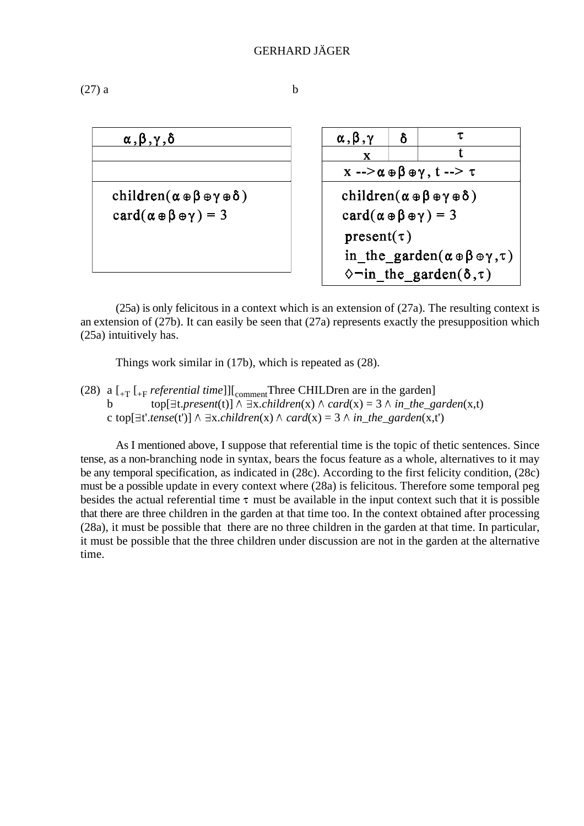$$
(27) a \t\t b
$$

| $\alpha$ , $\beta$ , $\gamma$ , $\delta$                      | $\alpha$ , $\beta$ , $\gamma$<br>δ                                       |  |  |  |  |
|---------------------------------------------------------------|--------------------------------------------------------------------------|--|--|--|--|
|                                                               | X                                                                        |  |  |  |  |
|                                                               | $x \rightarrow \alpha \oplus \beta \oplus \gamma$ , $t \rightarrow \tau$ |  |  |  |  |
| children( $\alpha \oplus \beta \oplus \gamma \oplus \delta$ ) | children( $\alpha \oplus \beta \oplus \gamma \oplus \delta$ )            |  |  |  |  |
| $card(\alpha \oplus \beta \oplus \gamma) = 3$                 | $card(\alpha \oplus \beta \oplus \gamma) = 3$                            |  |  |  |  |
|                                                               | $present(\tau)$                                                          |  |  |  |  |
|                                                               | in the garden( $\alpha \oplus \beta \oplus \gamma, \tau$ )               |  |  |  |  |
|                                                               | $\Diamond$ in the garden( $\delta$ , $\tau$ )                            |  |  |  |  |

(25a) is only felicitous in a context which is an extension of (27a). The resulting context is an extension of (27b). It can easily be seen that (27a) represents exactly the presupposition which (25a) intuitively has.

Things work similar in (17b), which is repeated as (28).

(28) a  $\left[ \begin{smallmatrix} 1 & 0 \\ 0 & -1 \end{smallmatrix} \right]$  *referential time*]] $\left[ \begin{smallmatrix} 0 & 0 \\ 0 & -1 \end{smallmatrix} \right]$  Three CHILDren are in the garden] b top[ $\exists t. present(t)$ ]  $\land \exists x. children(x) \land card(x) = 3 \land in-the-garden(x,t)$ c top[ $\exists t'.\text{tense}(t') \land \exists x. \text{children}(x) \land \text{card}(x) = 3 \land \text{in the garden}(x,t')$ 

As I mentioned above, I suppose that referential time is the topic of thetic sentences. Since tense, as a non-branching node in syntax, bears the focus feature as a whole, alternatives to it may be any temporal specification, as indicated in (28c). According to the first felicity condition, (28c) must be a possible update in every context where (28a) is felicitous. Therefore some temporal peg besides the actual referential time  $\tau$  must be available in the input context such that it is possible that there are three children in the garden at that time too. In the context obtained after processing (28a), it must be possible that there are no three children in the garden at that time. In particular, it must be possible that the three children under discussion are not in the garden at the alternative time.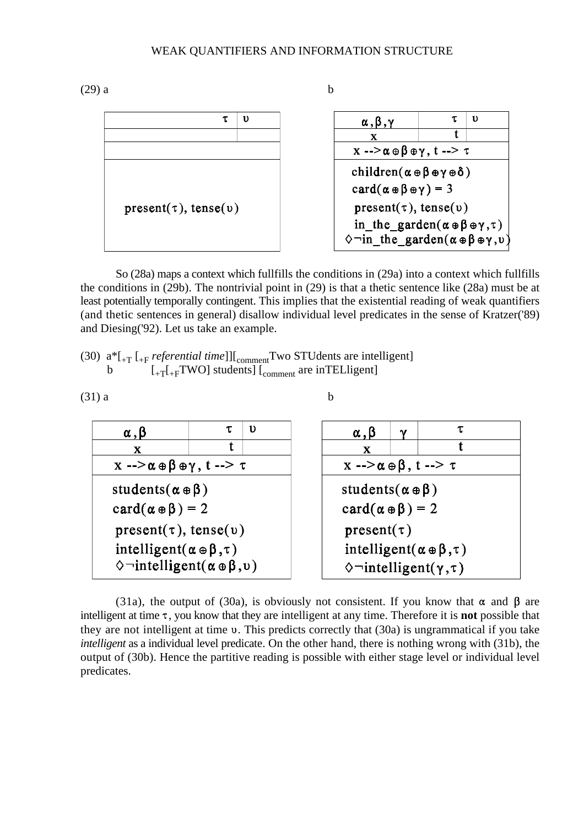

So (28a) maps a context which fullfills the conditions in (29a) into a context which fullfills the conditions in (29b). The nontrivial point in (29) is that a thetic sentence like (28a) must be at least potentially temporally contingent. This implies that the existential reading of weak quantifiers (and thetic sentences in general) disallow individual level predicates in the sense of Kratzer('89) and Diesing('92). Let us take an example.

```
(30) a^*[<sub>+T</sub> [<sub>+F</sub> referential time]][<sub>comment</sub>Two STUdents are intelligent]
          b \left[1 + \frac{1}{T} \left[1 + \frac{1}{T} \text{WO}\right] \text{ students}\right] \left[ \text{comment are in TELligent} \right]
```


(31a), the output of (30a), is obviously not consistent. If you know that  $\alpha$  and  $\beta$  are intelligent at time  $\tau$ , you know that they are intelligent at any time. Therefore it is **not** possible that they are not intelligent at time  $\nu$ . This predicts correctly that (30a) is ungrammatical if you take *intelligent* as a individual level predicate. On the other hand, there is nothing wrong with (31b), the output of (30b). Hence the partitive reading is possible with either stage level or individual level predicates.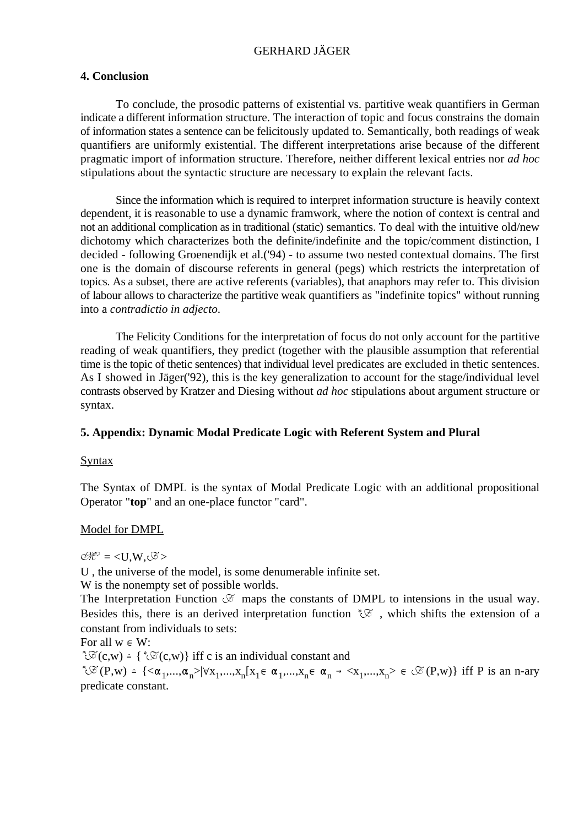## **4. Conclusion**

To conclude, the prosodic patterns of existential vs. partitive weak quantifiers in German indicate a different information structure. The interaction of topic and focus constrains the domain of information states a sentence can be felicitously updated to. Semantically, both readings of weak quantifiers are uniformly existential. The different interpretations arise because of the different pragmatic import of information structure. Therefore, neither different lexical entries nor *ad hoc* stipulations about the syntactic structure are necessary to explain the relevant facts.

Since the information which is required to interpret information structure is heavily context dependent, it is reasonable to use a dynamic framwork, where the notion of context is central and not an additional complication as in traditional (static) semantics. To deal with the intuitive old/new dichotomy which characterizes both the definite/indefinite and the topic/comment distinction, I decided - following Groenendijk et al. ('94) - to assume two nested contextual domains. The first one is the domain of discourse referents in general (pegs) which restricts the interpretation of topics. As a subset, there are active referents (variables), that anaphors may refer to. This division of labour allows to characterize the partitive weak quantifiers as "indefinite topics" without running into a *contradictio in adjecto*.

The Felicity Conditions for the interpretation of focus do not only account for the partitive reading of weak quantifiers, they predict (together with the plausible assumption that referential time is the topic of thetic sentences) that individual level predicates are excluded in thetic sentences. As I showed in Jäger('92), this is the key generalization to account for the stage/individual level contrasts observed by Kratzer and Diesing without *ad hoc* stipulations about argument structure or syntax.

## **5. Appendix: Dynamic Modal Predicate Logic with Referent System and Plural**

## **Syntax**

The Syntax of DMPL is the syntax of Modal Predicate Logic with an additional propositional Operator "**top**" and an one-place functor "card".

## Model for DMPL

 $O/E = \langle U, W, \mathcal{F} \rangle$ 

U , the universe of the model, is some denumerable infinite set.

W is the nonempty set of possible worlds.

The Interpretation Function  $\mathfrak{S}$  maps the constants of DMPL to intensions in the usual way. Besides this, there is an derived interpretation function  $\mathscr{E}$ , which shifts the extension of a constant from individuals to sets:

For all  $w \in W$ :

 $\mathscr{E}(c,w)$  = { $\mathscr{E}(c,w)$ } iff c is an individual constant and

 $^{\ast}\mathcal{L} \left(P, w\right) = \left\{ \langle \alpha_1, ..., \alpha_n \rangle | \forall x_1, ..., x_n [x_1 \in \alpha_1, ..., x_n \in \alpha_n \rightarrow \langle x_1, ..., x_n \rangle \in \mathcal{L}(P, w) \right\}$  iff P is an n-ary predicate constant.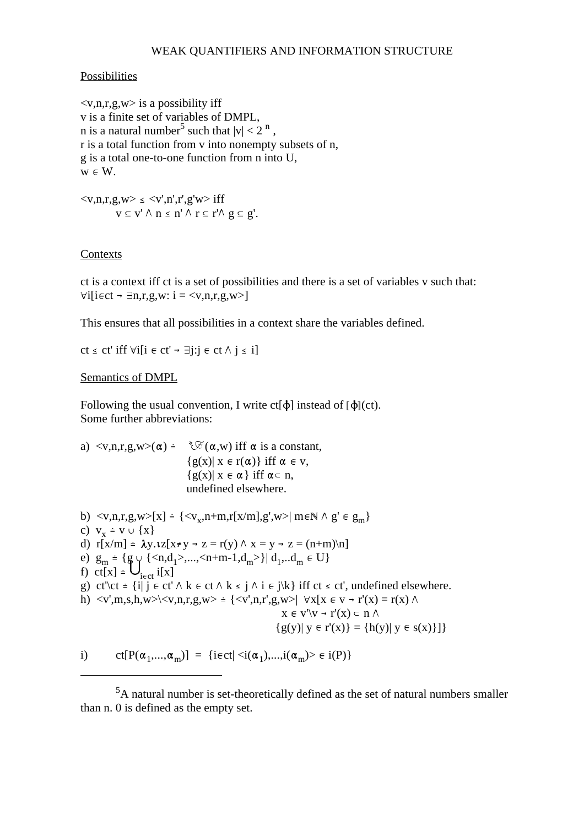#### **Possibilities**

 $\langle v, n, r, g, w \rangle$  is a possibility iff v is a finite set of variables of DMPL, n is a natural number<sup>5</sup> such that  $|v| < 2^{n}$ , r is a total function from v into nonempty subsets of n, g is a total one-to-one function from n into U,  $w \in W$ .

 $\langle v, n, r, g, w \rangle \leq \langle v', n', r', g'w \rangle$  iff  $v \subseteq v' \land n \leq n' \land r \subseteq r' \land g \subseteq g'.$ 

#### **Contexts**

ct is a context iff ct is a set of possibilities and there is a set of variables v such that: <sup>p</sup>  $\forall i$ [i $\in$ ct -  $\exists$ n,r,g,w: i = <v,n,r,g,w>]

This ensures that all possibilities in a context share the variables defined.

 $ct \le ct'$  iff  $\forall i[i \in ct' \rightarrow \exists j:j \in ct \land j \le i]$ 

Semantics of DMPL

Following the usual convention, I write  $ct[\phi]$  instead of  $[\phi](ct)$ . Some further abbreviations:

a)  $\langle v, n, r, g, w \rangle (\alpha) = \sqrt[k]{\alpha} (\alpha, w)$  iff  $\alpha$  is a constant,  ${g(x)| x \in r(\alpha)}$  iff  $\alpha \in v$ ,  ${g(x)| x \in \alpha}$  iff  $\alpha \subset n$ , undefined elsewhere.

b)  $\langle v, n, r, g, w \rangle [x] = {\langle v_x, n+m, r[x/m], g', w \rangle | m \in \mathbb{N} \land g' \in g_m}$ c)  $V_x = V \cup \{X\}$ d)  $r[x/m] \doteq \lambda y. \iota z[x \neq y \rightarrow z = r(y) \land x = y \rightarrow z = (n+m)\n\mid n]$ e)  $g_m = {g \atop q} {\{ \langle n,d_1 \rangle, \ldots, \langle n+m-1,d_m \rangle \} } d_1 \ldots d_m \in U$ f) ct[x]  $\stackrel{\cdot}{=} \bigcup_{i \in ct} i[x]$ g) ct'\ct = {i| j  $\epsilon$  ct'  $\wedge$  k  $\epsilon$  ct  $\wedge$  k  $\leq$  j  $\wedge$  i  $\epsilon$  j\k} iff ct  $\leq$  ct', undefined elsewhere. h)  $\langle v',m,s,h,w\rangle \langle v,n,r,g,w\rangle = \{ \langle v',n,r',g,w\rangle | \forall x [x \in v \rightarrow r'(x) = r(x) \land$  $x \in v' \lor \neg r'(x) \subset n \land$  ${g(y)| y \in r'(x)} = {h(y)| y \in s(x)}$ i) ct[P( $\alpha_1, \ldots, \alpha_m$ )] = {i $\epsilon$ ct| $\langle i(\alpha_1), \ldots, i(\alpha_m) \rangle \in i(P)$ }

 ${}^{5}$ A natural number is set-theoretically defined as the set of natural numbers smaller than n. 0 is defined as the empty set.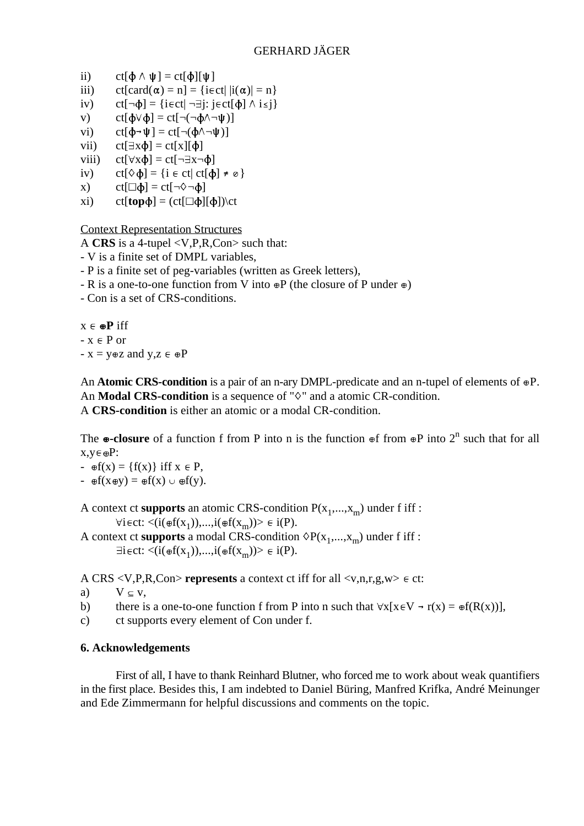- ii) ct $[\phi \wedge \psi] = \text{ct}[\phi][\psi]$
- iii) ct[card( $\alpha$ ) = n] = {i  $\epsilon$ ct| |i( $\alpha$ )| = n}
- iv) ct[ $\neg \phi$ ] = {iect|  $\neg \exists j$ : j ect[ $\phi$ ]  $\wedge$  i  $\leq j$  }
- v)  $ct[\phi \lor \phi] = ct[\neg(\neg \phi \land \neg \psi)]$
- vi)  $ct[\Phi \rightarrow \Psi] = ct[\neg(\Phi \land \neg \Psi)]$
- vii)  $ct[\exists x \phi] = ct[x][\phi]$
- viii)  $ct[\forall x\phi] = ct[\neg \exists x \neg \phi]$
- iv)  $ct[\Diamond \phi] = \{i \in ct | ct[\phi] \neq \emptyset\}$
- x) ct[ $\Box \phi$ ] = ct[ $\neg \Diamond \neg \phi$ ]
- xi) ct[**top** $\phi$ ] = (ct[ $\Box \phi$ ][ $\phi$ ])\ct

Context Representation Structures

A **CRS** is a 4-tupel <V,P,R,Con> such that:

- V is a finite set of DMPL variables,
- P is a finite set of peg-variables (written as Greek letters),
- R is a one-to-one function from V into  $\oplus P$  (the closure of P under  $\oplus$ )
- Con is a set of CRS-conditions.

 $x \in \bigoplus$  **P** iff  $-x \in P$  or -  $x = y \oplus z$  and  $y, z \in \oplus P$ 

An **Atomic CRS-condition** is a pair of an n-ary DMPL-predicate and an n-tupel of elements of  $\Theta$ P. An **Modal CRS-condition** is a sequence of " $\diamond$ " and a atomic CR-condition. A **CRS-condition** is either an atomic or a modal CR-condition.

The  $\omega$ -closure of a function f from P into n is the function  $\omega$ f from  $\omega$ P into  $2^n$  such that for all  $x,y \in \oplus P$ :

- $\mathfrak{g}(x) = \{f(x)\}\$ iff  $x \in P$ ,
- $\mathfrak{g}f(x\mathfrak{g}y) = \mathfrak{g}f(x) \cup \mathfrak{g}f(y).$

A context ct **supports** an atomic CRS-condition  $P(x_1,...,x_m)$  under f iff :  $\forall i \in \text{ct: } \langle i(\text{eff}(x_1)),...,i(\text{eff}(x_m)) \rangle \in i(P).$ 

A context ct **supports** a modal CRS-condition  $\Diamond P(x_1,...,x_m)$  under f iff :  $\exists i \in \text{ct:} \langle i(\text{eff}(x_1)),...,i(\text{eff}(x_m)) \rangle \in i(P).$ 

A CRS  $\langle V, P, R, Con \rangle$  **represents** a context ct iff for all  $\langle v, n, r, g, w \rangle \in \mathbb{C}$ t:

- a)  $V \subseteq V$ ,
- b) there is a one-to-one function f from P into n such that  $\forall x[x \in V \rightarrow r(x) = \bigoplus F(R(x))\big]$ ,
- c) ct supports every element of Con under f.

## **6. Acknowledgements**

First of all, I have to thank Reinhard Blutner, who forced me to work about weak quantifiers in the first place. Besides this, I am indebted to Daniel Büring, Manfred Krifka, André Meinunger and Ede Zimmermann for helpful discussions and comments on the topic.